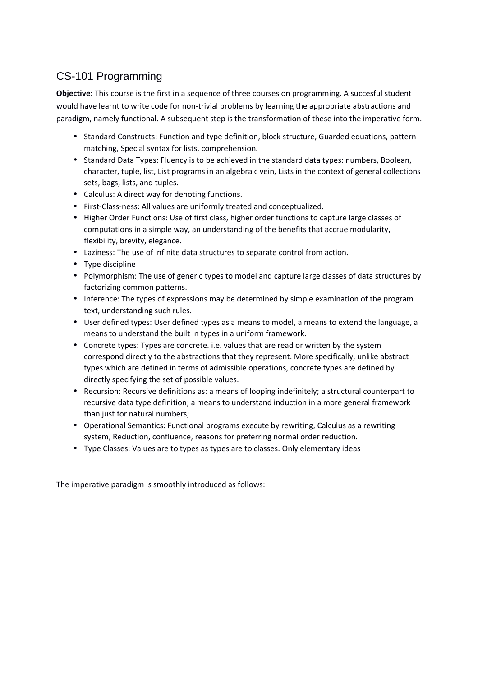# CS-101 Programming

**Objective**: This course is the first in a sequence of three courses on programming. A succesful student would have learnt to write code for non-trivial problems by learning the appropriate abstractions and paradigm, namely functional. A subsequent step is the transformation of these into the imperative form.

- Standard Constructs: Function and type definition, block structure, Guarded equations, pattern matching, Special syntax for lists, comprehension.
- Standard Data Types: Fluency is to be achieved in the standard data types: numbers, Boolean, character, tuple, list, List programs in an algebraic vein, Lists in the context of general collections sets, bags, lists, and tuples.
- Calculus: A direct way for denoting functions.
- First-Class-ness: All values are uniformly treated and conceptualized.
- Higher Order Functions: Use of first class, higher order functions to capture large classes of computations in a simple way, an understanding of the benefits that accrue modularity, flexibility, brevity, elegance.
- Laziness: The use of infinite data structures to separate control from action.
- Type discipline
- Polymorphism: The use of generic types to model and capture large classes of data structures by factorizing common patterns.
- Inference: The types of expressions may be determined by simple examination of the program text, understanding such rules.
- User defined types: User defined types as a means to model, a means to extend the language, a means to understand the built in types in a uniform framework.
- Concrete types: Types are concrete. i.e. values that are read or written by the system correspond directly to the abstractions that they represent. More specifically, unlike abstract types which are defined in terms of admissible operations, concrete types are defined by directly specifying the set of possible values.
- Recursion: Recursive definitions as: a means of looping indefinitely; a structural counterpart to recursive data type definition; a means to understand induction in a more general framework than just for natural numbers;
- Operational Semantics: Functional programs execute by rewriting, Calculus as a rewriting system, Reduction, confluence, reasons for preferring normal order reduction.
- Type Classes: Values are to types as types are to classes. Only elementary ideas

The imperative paradigm is smoothly introduced as follows: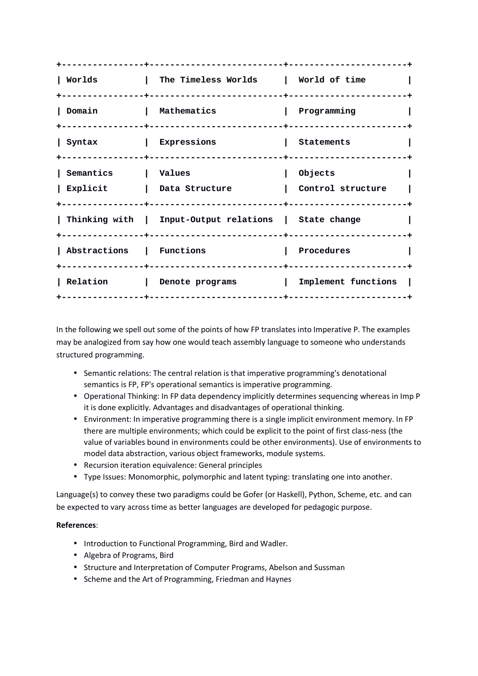| Worlds                   | The Timeless Worlds   World of time                   |                              |
|--------------------------|-------------------------------------------------------|------------------------------|
| Domain                   | Mathematics                                           | Programming                  |
| Syntax                   | $\mathbf{L}$<br>Expressions                           | Statements                   |
| Semantics<br>  Explicit  | l Values<br>Data Structure                            | Objects<br>Control structure |
|                          | Thinking with   Input-Output relations   State change |                              |
| Abstractions   Functions |                                                       | Procedures                   |
| Relation                 | Denote programs                                       | Implement functions          |

In the following we spell out some of the points of how FP translates into Imperative P. The examples may be analogized from say how one would teach assembly language to someone who understands structured programming.

- Semantic relations: The central relation is that imperative programming's denotational semantics is FP, FP's operational semantics is imperative programming.
- Operational Thinking: In FP data dependency implicitly determines sequencing whereas in Imp P it is done explicitly. Advantages and disadvantages of operational thinking.
- Environment: In imperative programming there is a single implicit environment memory. In FP there are multiple environments; which could be explicit to the point of first class-ness (the value of variables bound in environments could be other environments). Use of environments to model data abstraction, various object frameworks, module systems.
- Recursion iteration equivalence: General principles
- Type Issues: Monomorphic, polymorphic and latent typing: translating one into another.

Language(s) to convey these two paradigms could be Gofer (or Haskell), Python, Scheme, etc. and can be expected to vary across time as better languages are developed for pedagogic purpose.

- Introduction to Functional Programming, Bird and Wadler.
- Algebra of Programs, Bird
- Structure and Interpretation of Computer Programs, Abelson and Sussman
- Scheme and the Art of Programming, Friedman and Haynes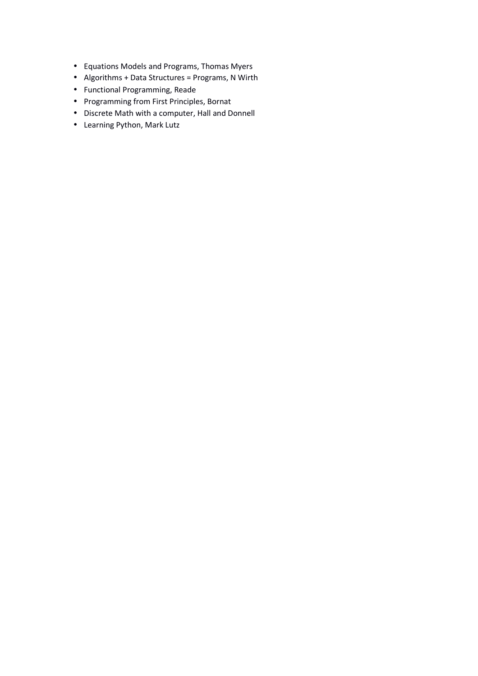- Equations Models and Programs, Thomas Myers
- Algorithms + Data Structures = Programs, N Wirth
- Functional Programming, Reade
- Programming from First Principles, Bornat
- Discrete Math with a computer, Hall and Donnell
- Learning Python, Mark Lutz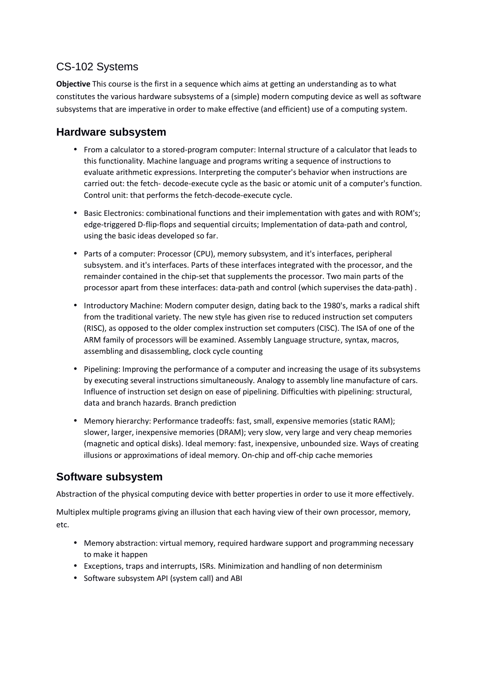### CS-102 Systems

**Objective** This course is the first in a sequence which aims at getting an understanding as to what constitutes the various hardware subsystems of a (simple) modern computing device as well as software subsystems that are imperative in order to make effective (and efficient) use of a computing system.

### **Hardware subsystem**

- From a calculator to a stored-program computer: Internal structure of a calculator that leads to this functionality. Machine language and programs writing a sequence of instructions to evaluate arithmetic expressions. Interpreting the computer's behavior when instructions are carried out: the fetch- decode-execute cycle as the basic or atomic unit of a computer's function. Control unit: that performs the fetch-decode-execute cycle.
- Basic Electronics: combinational functions and their implementation with gates and with ROM's; edge-triggered D-flip-flops and sequential circuits; Implementation of data-path and control, using the basic ideas developed so far.
- Parts of a computer: Processor (CPU), memory subsystem, and it's interfaces, peripheral subsystem. and it's interfaces. Parts of these interfaces integrated with the processor, and the remainder contained in the chip-set that supplements the processor. Two main parts of the processor apart from these interfaces: data-path and control (which supervises the data-path) .
- Introductory Machine: Modern computer design, dating back to the 1980's, marks a radical shift from the traditional variety. The new style has given rise to reduced instruction set computers (RISC), as opposed to the older complex instruction set computers (CISC). The ISA of one of the ARM family of processors will be examined. Assembly Language structure, syntax, macros, assembling and disassembling, clock cycle counting
- Pipelining: Improving the performance of a computer and increasing the usage of its subsystems by executing several instructions simultaneously. Analogy to assembly line manufacture of cars. Influence of instruction set design on ease of pipelining. Difficulties with pipelining: structural, data and branch hazards. Branch prediction
- Memory hierarchy: Performance tradeoffs: fast, small, expensive memories (static RAM); slower, larger, inexpensive memories (DRAM); very slow, very large and very cheap memories (magnetic and optical disks). Ideal memory: fast, inexpensive, unbounded size. Ways of creating illusions or approximations of ideal memory. On-chip and off-chip cache memories

### **Software subsystem**

Abstraction of the physical computing device with better properties in order to use it more effectively.

Multiplex multiple programs giving an illusion that each having view of their own processor, memory, etc.

- Memory abstraction: virtual memory, required hardware support and programming necessary to make it happen
- Exceptions, traps and interrupts, ISRs. Minimization and handling of non determinism
- Software subsystem API (system call) and ABI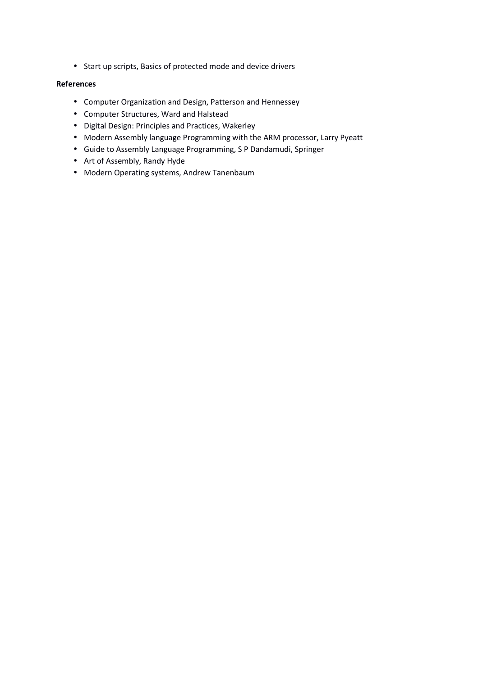• Start up scripts, Basics of protected mode and device drivers

- Computer Organization and Design, Patterson and Hennessey
- Computer Structures, Ward and Halstead
- Digital Design: Principles and Practices, Wakerley
- Modern Assembly language Programming with the ARM processor, Larry Pyeatt
- Guide to Assembly Language Programming, S P Dandamudi, Springer
- Art of Assembly, Randy Hyde
- Modern Operating systems, Andrew Tanenbaum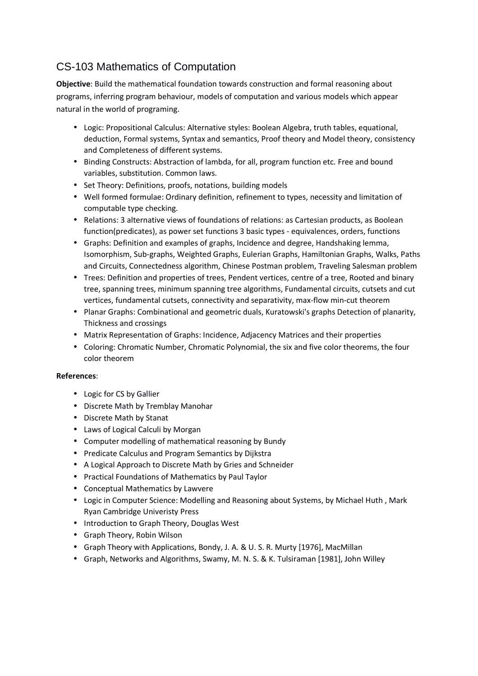# CS-103 Mathematics of Computation

**Objective**: Build the mathematical foundation towards construction and formal reasoning about programs, inferring program behaviour, models of computation and various models which appear natural in the world of programing.

- Logic: Propositional Calculus: Alternative styles: Boolean Algebra, truth tables, equational, deduction, Formal systems, Syntax and semantics, Proof theory and Model theory, consistency and Completeness of different systems.
- Binding Constructs: Abstraction of lambda, for all, program function etc. Free and bound variables, substitution. Common laws.
- Set Theory: Definitions, proofs, notations, building models
- Well formed formulae: Ordinary definition, refinement to types, necessity and limitation of computable type checking.
- Relations: 3 alternative views of foundations of relations: as Cartesian products, as Boolean function(predicates), as power set functions 3 basic types - equivalences, orders, functions
- Graphs: Definition and examples of graphs, Incidence and degree, Handshaking lemma, Isomorphism, Sub-graphs, Weighted Graphs, Eulerian Graphs, Hamiltonian Graphs, Walks, Paths and Circuits, Connectedness algorithm, Chinese Postman problem, Traveling Salesman problem
- Trees: Definition and properties of trees, Pendent vertices, centre of a tree, Rooted and binary tree, spanning trees, minimum spanning tree algorithms, Fundamental circuits, cutsets and cut vertices, fundamental cutsets, connectivity and separativity, max-flow min-cut theorem
- Planar Graphs: Combinational and geometric duals, Kuratowski's graphs Detection of planarity, Thickness and crossings
- Matrix Representation of Graphs: Incidence, Adjacency Matrices and their properties
- Coloring: Chromatic Number, Chromatic Polynomial, the six and five color theorems, the four color theorem

- Logic for CS by Gallier
- Discrete Math by Tremblay Manohar
- Discrete Math by Stanat
- Laws of Logical Calculi by Morgan
- Computer modelling of mathematical reasoning by Bundy
- Predicate Calculus and Program Semantics by Dijkstra
- A Logical Approach to Discrete Math by Gries and Schneider
- Practical Foundations of Mathematics by Paul Taylor
- Conceptual Mathematics by Lawvere
- Logic in Computer Science: Modelling and Reasoning about Systems, by Michael Huth , Mark Ryan Cambridge Univeristy Press
- Introduction to Graph Theory, Douglas West
- Graph Theory, Robin Wilson
- Graph Theory with Applications, Bondy, J. A. & U. S. R. Murty [1976], MacMillan
- Graph, Networks and Algorithms, Swamy, M. N. S. & K. Tulsiraman [1981], John Willey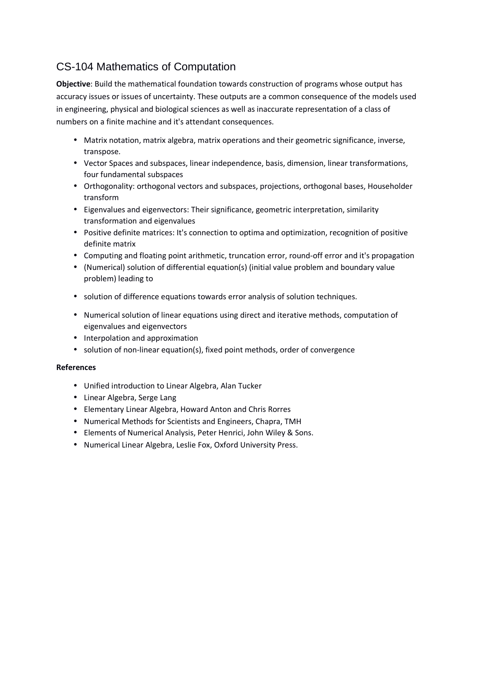# CS-104 Mathematics of Computation

**Objective**: Build the mathematical foundation towards construction of programs whose output has accuracy issues or issues of uncertainty. These outputs are a common consequence of the models used in engineering, physical and biological sciences as well as inaccurate representation of a class of numbers on a finite machine and it's attendant consequences.

- Matrix notation, matrix algebra, matrix operations and their geometric significance, inverse, transpose.
- Vector Spaces and subspaces, linear independence, basis, dimension, linear transformations, four fundamental subspaces
- Orthogonality: orthogonal vectors and subspaces, projections, orthogonal bases, Householder transform
- Eigenvalues and eigenvectors: Their significance, geometric interpretation, similarity transformation and eigenvalues
- Positive definite matrices: It's connection to optima and optimization, recognition of positive definite matrix
- Computing and floating point arithmetic, truncation error, round-off error and it's propagation
- (Numerical) solution of differential equation(s) (initial value problem and boundary value problem) leading to
- solution of difference equations towards error analysis of solution techniques.
- Numerical solution of linear equations using direct and iterative methods, computation of eigenvalues and eigenvectors
- Interpolation and approximation
- solution of non-linear equation(s), fixed point methods, order of convergence

- Unified introduction to Linear Algebra, Alan Tucker
- Linear Algebra, Serge Lang
- Elementary Linear Algebra, Howard Anton and Chris Rorres
- Numerical Methods for Scientists and Engineers, Chapra, TMH
- Elements of Numerical Analysis, Peter Henrici, John Wiley & Sons.
- Numerical Linear Algebra, Leslie Fox, Oxford University Press.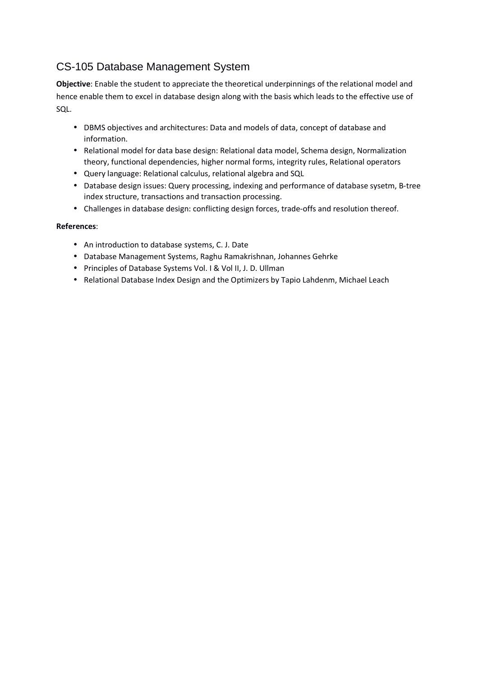# CS-105 Database Management System

**Objective**: Enable the student to appreciate the theoretical underpinnings of the relational model and hence enable them to excel in database design along with the basis which leads to the effective use of SQL.

- DBMS objectives and architectures: Data and models of data, concept of database and information.
- Relational model for data base design: Relational data model, Schema design, Normalization theory, functional dependencies, higher normal forms, integrity rules, Relational operators
- Query language: Relational calculus, relational algebra and SQL
- Database design issues: Query processing, indexing and performance of database sysetm, B-tree index structure, transactions and transaction processing.
- Challenges in database design: conflicting design forces, trade-offs and resolution thereof.

- An introduction to database systems, C. J. Date
- Database Management Systems, Raghu Ramakrishnan, Johannes Gehrke
- Principles of Database Systems Vol. I & Vol II, J. D. Ullman
- Relational Database Index Design and the Optimizers by Tapio Lahdenm, Michael Leach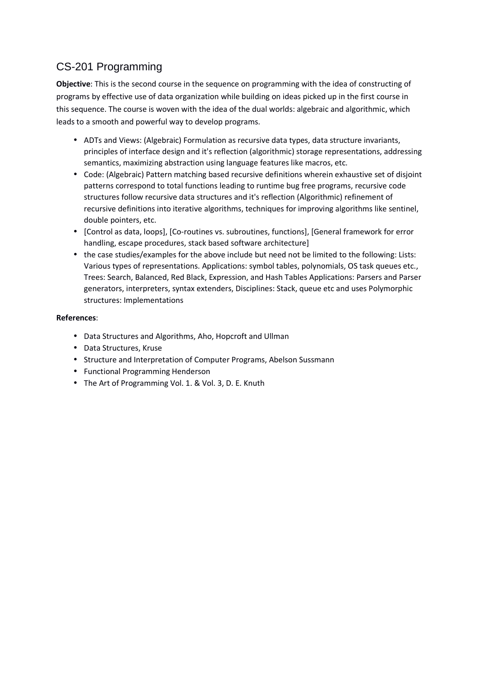# CS-201 Programming

**Objective**: This is the second course in the sequence on programming with the idea of constructing of programs by effective use of data organization while building on ideas picked up in the first course in this sequence. The course is woven with the idea of the dual worlds: algebraic and algorithmic, which leads to a smooth and powerful way to develop programs.

- ADTs and Views: (Algebraic) Formulation as recursive data types, data structure invariants, principles of interface design and it's reflection (algorithmic) storage representations, addressing semantics, maximizing abstraction using language features like macros, etc.
- Code: (Algebraic) Pattern matching based recursive definitions wherein exhaustive set of disjoint patterns correspond to total functions leading to runtime bug free programs, recursive code structures follow recursive data structures and it's reflection (Algorithmic) refinement of recursive definitions into iterative algorithms, techniques for improving algorithms like sentinel, double pointers, etc.
- [Control as data, loops], [Co-routines vs. subroutines, functions], [General framework for error handling, escape procedures, stack based software architecture]
- the case studies/examples for the above include but need not be limited to the following: Lists: Various types of representations. Applications: symbol tables, polynomials, OS task queues etc., Trees: Search, Balanced, Red Black, Expression, and Hash Tables Applications: Parsers and Parser generators, interpreters, syntax extenders, Disciplines: Stack, queue etc and uses Polymorphic structures: Implementations

- Data Structures and Algorithms, Aho, Hopcroft and Ullman
- Data Structures, Kruse
- Structure and Interpretation of Computer Programs, Abelson Sussmann
- Functional Programming Henderson
- The Art of Programming Vol. 1. & Vol. 3, D. E. Knuth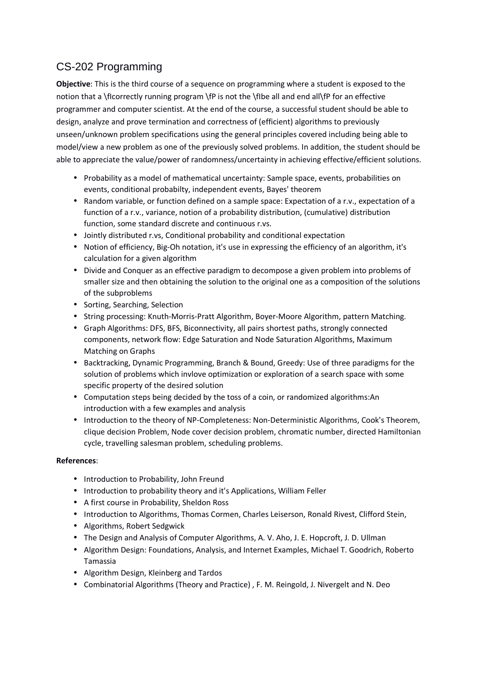# CS-202 Programming

**Objective**: This is the third course of a sequence on programming where a student is exposed to the notion that a \flcorrectly running program \fP is not the \flbe all and end all\fP for an effective programmer and computer scientist. At the end of the course, a successful student should be able to design, analyze and prove termination and correctness of (efficient) algorithms to previously unseen/unknown problem specifications using the general principles covered including being able to model/view a new problem as one of the previously solved problems. In addition, the student should be able to appreciate the value/power of randomness/uncertainty in achieving effective/efficient solutions.

- Probability as a model of mathematical uncertainty: Sample space, events, probabilities on events, conditional probabilty, independent events, Bayes' theorem
- Random variable, or function defined on a sample space: Expectation of a r.v., expectation of a function of a r.v., variance, notion of a probability distribution, (cumulative) distribution function, some standard discrete and continuous r.vs.
- Jointly distributed r.vs, Conditional probability and conditional expectation
- Notion of efficiency, Big-Oh notation, it's use in expressing the efficiency of an algorithm, it's calculation for a given algorithm
- Divide and Conquer as an effective paradigm to decompose a given problem into problems of smaller size and then obtaining the solution to the original one as a composition of the solutions of the subproblems
- Sorting, Searching, Selection
- String processing: Knuth-Morris-Pratt Algorithm, Boyer-Moore Algorithm, pattern Matching.
- Graph Algorithms: DFS, BFS, Biconnectivity, all pairs shortest paths, strongly connected components, network flow: Edge Saturation and Node Saturation Algorithms, Maximum Matching on Graphs
- Backtracking, Dynamic Programming, Branch & Bound, Greedy: Use of three paradigms for the solution of problems which invlove optimization or exploration of a search space with some specific property of the desired solution
- Computation steps being decided by the toss of a coin, or randomized algorithms:An introduction with a few examples and analysis
- Introduction to the theory of NP-Completeness: Non-Deterministic Algorithms, Cook's Theorem, clique decision Problem, Node cover decision problem, chromatic number, directed Hamiltonian cycle, travelling salesman problem, scheduling problems.

- Introduction to Probability, John Freund
- Introduction to probability theory and it's Applications, William Feller
- A first course in Probability, Sheldon Ross
- Introduction to Algorithms, Thomas Cormen, Charles Leiserson, Ronald Rivest, Clifford Stein,
- Algorithms, Robert Sedgwick
- The Design and Analysis of Computer Algorithms, A. V. Aho, J. E. Hopcroft, J. D. Ullman
- Algorithm Design: Foundations, Analysis, and Internet Examples, Michael T. Goodrich, Roberto Tamassia
- Algorithm Design, Kleinberg and Tardos
- Combinatorial Algorithms (Theory and Practice) , F. M. Reingold, J. Nivergelt and N. Deo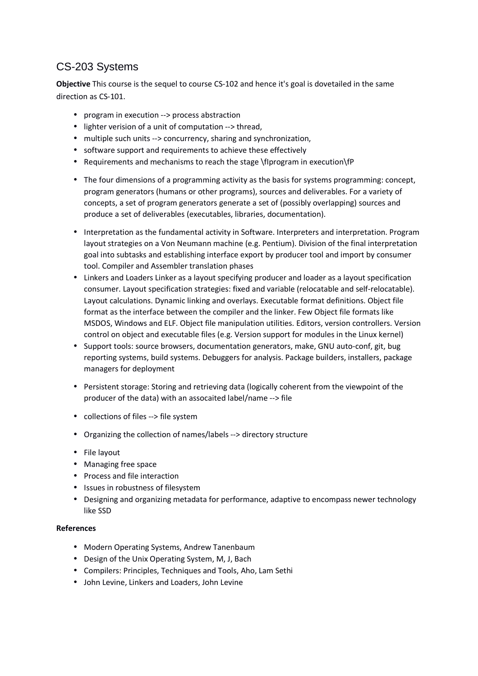## CS-203 Systems

**Objective** This course is the sequel to course CS-102 and hence it's goal is dovetailed in the same direction as CS-101.

- program in execution --> process abstraction
- lighter verision of a unit of computation --> thread,
- multiple such units --> concurrency, sharing and synchronization,
- software support and requirements to achieve these effectively
- Requirements and mechanisms to reach the stage \fIprogram in execution\fP
- The four dimensions of a programming activity as the basis for systems programming: concept, program generators (humans or other programs), sources and deliverables. For a variety of concepts, a set of program generators generate a set of (possibly overlapping) sources and produce a set of deliverables (executables, libraries, documentation).
- Interpretation as the fundamental activity in Software. Interpreters and interpretation. Program layout strategies on a Von Neumann machine (e.g. Pentium). Division of the final interpretation goal into subtasks and establishing interface export by producer tool and import by consumer tool. Compiler and Assembler translation phases
- Linkers and Loaders Linker as a layout specifying producer and loader as a layout specification consumer. Layout specification strategies: fixed and variable (relocatable and self-relocatable). Layout calculations. Dynamic linking and overlays. Executable format definitions. Object file format as the interface between the compiler and the linker. Few Object file formats like MSDOS, Windows and ELF. Object file manipulation utilities. Editors, version controllers. Version control on object and executable files (e.g. Version support for modules in the Linux kernel)
- Support tools: source browsers, documentation generators, make, GNU auto-conf, git, bug reporting systems, build systems. Debuggers for analysis. Package builders, installers, package managers for deployment
- Persistent storage: Storing and retrieving data (logically coherent from the viewpoint of the producer of the data) with an assocaited label/name --> file
- collections of files --> file system
- Organizing the collection of names/labels --> directory structure
- File layout
- Managing free space
- Process and file interaction
- Issues in robustness of filesystem
- Designing and organizing metadata for performance, adaptive to encompass newer technology like SSD

- Modern Operating Systems, Andrew Tanenbaum
- Design of the Unix Operating System, M, J, Bach
- Compilers: Principles, Techniques and Tools, Aho, Lam Sethi
- John Levine, Linkers and Loaders, John Levine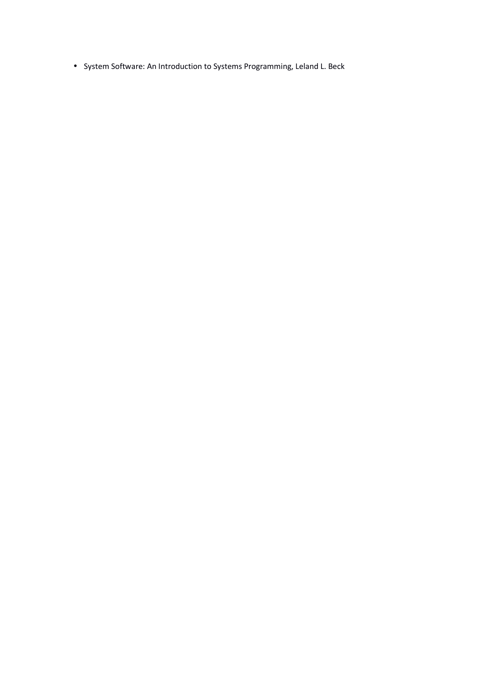• System Software: An Introduction to Systems Programming, Leland L. Beck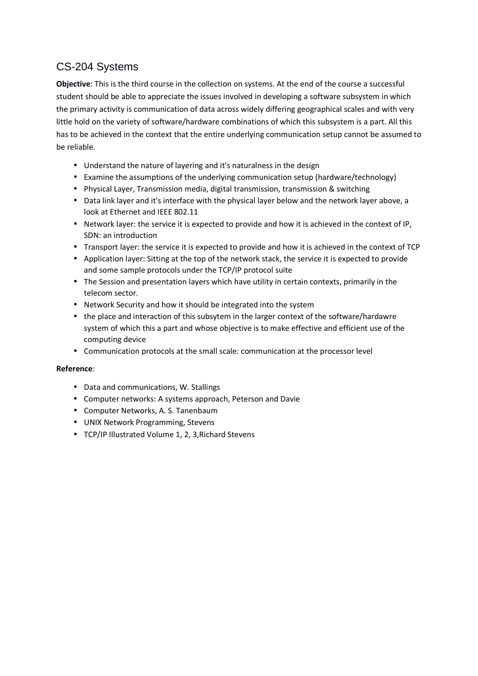## CS-204 Systems

**Objective**: This is the third course in the collection on systems. At the end of the course a successful student should be able to appreciate the issues involved in developing a software subsystem in which the primary activity is communication of data across widely differing geographical scales and with very little hold on the variety of software/hardware combinations of which this subsystem is a part. All this has to be achieved in the context that the entire underlying communication setup cannot be assumed to be reliable.

- Understand the nature of layering and it's naturalness in the design
- Examine the assumptions of the underlying communication setup (hardware/technology)
- Physical Layer, Transmission media, digital transmission, transmission & switching
- Data link layer and it's interface with the physical layer below and the network layer above, a look at Ethernet and IEEE 802.11
- Network layer: the service it is expected to provide and how it is achieved in the context of IP, SDN: an introduction
- Transport layer: the service it is expected to provide and how it is achieved in the context of TCP
- Application layer: Sitting at the top of the network stack, the service it is expected to provide and some sample protocols under the TCP/IP protocol suite
- The Session and presentation layers which have utility in certain contexts, primarily in the telecom sector.
- Network Security and how it should be integrated into the system
- the place and interaction of this subsytem in the larger context of the software/hardawre system of which this a part and whose objective is to make effective and efficient use of the computing device
- Communication protocols at the small scale: communication at the processor level

- Data and communications, W. Stallings
- Computer networks: A systems approach, Peterson and Davie
- Computer Networks, A. S. Tanenbaum
- UNIX Network Programming, Stevens
- TCP/IP Illustrated Volume 1, 2, 3,Richard Stevens